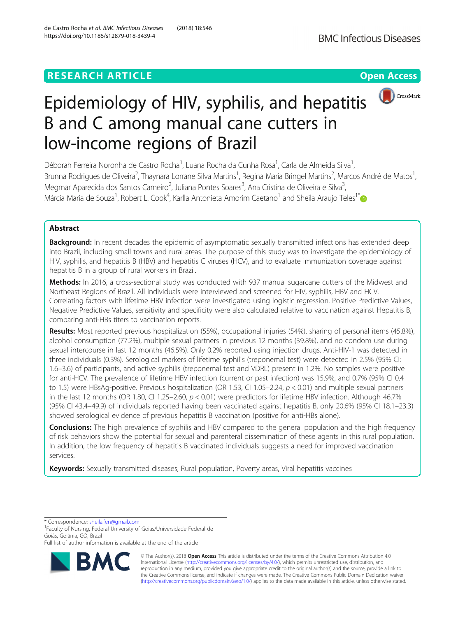# **RESEARCH ARTICLE Example 2018 12:30 THE Open Access**



# Epidemiology of HIV, syphilis, and hepatitis B and C among manual cane cutters in low-income regions of Brazil

Déborah Ferreira Noronha de Castro Rocha<sup>1</sup>, Luana Rocha da Cunha Rosa<sup>1</sup>, Carla de Almeida Silva<sup>1</sup> , Brunna Rodrigues de Oliveira<sup>2</sup>, Thaynara Lorrane Silva Martins<sup>1</sup>, Regina Maria Bringel Martins<sup>2</sup>, Marcos André de Matos<sup>1</sup> , Megmar Aparecida dos Santos Carneiro<sup>2</sup>, Juliana Pontes Soares<sup>3</sup>, Ana Cristina de Oliveira e Silva<sup>3</sup> , Márcia Maria de Souza<sup>1</sup>, Robert L. Cook<sup>4</sup>, Karlla Antonieta Amorim Caetano<sup>1</sup> and Sheila Araujo Teles<sup>1[\\*](http://orcid.org/0000-0002-7059-4241)</sup>

# Abstract

Background: In recent decades the epidemic of asymptomatic sexually transmitted infections has extended deep into Brazil, including small towns and rural areas. The purpose of this study was to investigate the epidemiology of HIV, syphilis, and hepatitis B (HBV) and hepatitis C viruses (HCV), and to evaluate immunization coverage against hepatitis B in a group of rural workers in Brazil.

Methods: In 2016, a cross-sectional study was conducted with 937 manual sugarcane cutters of the Midwest and Northeast Regions of Brazil. All individuals were interviewed and screened for HIV, syphilis, HBV and HCV. Correlating factors with lifetime HBV infection were investigated using logistic regression. Positive Predictive Values, Negative Predictive Values, sensitivity and specificity were also calculated relative to vaccination against Hepatitis B, comparing anti-HBs titers to vaccination reports.

Results: Most reported previous hospitalization (55%), occupational injuries (54%), sharing of personal items (45.8%), alcohol consumption (77.2%), multiple sexual partners in previous 12 months (39.8%), and no condom use during sexual intercourse in last 12 months (46.5%). Only 0.2% reported using injection drugs. Anti-HIV-1 was detected in three individuals (0.3%). Serological markers of lifetime syphilis (treponemal test) were detected in 2.5% (95% CI: 1.6–3.6) of participants, and active syphilis (treponemal test and VDRL) present in 1.2%. No samples were positive for anti-HCV. The prevalence of lifetime HBV infection (current or past infection) was 15.9%, and 0.7% (95% CI 0.4 to 1.5) were HBsAg-positive. Previous hospitalization (OR 1.53, CI 1.05–2.24,  $p < 0.01$ ) and multiple sexual partners in the last 12 months (OR 1.80, CI 1.25–2.60,  $p < 0.01$ ) were predictors for lifetime HBV infection. Although 46.7% (95% CI 43.4–49.9) of individuals reported having been vaccinated against hepatitis B, only 20.6% (95% CI 18.1–23.3) showed serological evidence of previous hepatitis B vaccination (positive for anti-HBs alone).

**Conclusions:** The high prevalence of syphilis and HBV compared to the general population and the high frequency of risk behaviors show the potential for sexual and parenteral dissemination of these agents in this rural population. In addition, the low frequency of hepatitis B vaccinated individuals suggests a need for improved vaccination services.

Keywords: Sexually transmitted diseases, Rural population, Poverty areas, Viral hepatitis vaccines

\* Correspondence: [sheila.fen@gmail.com](mailto:sheila.fen@gmail.com) <sup>1</sup>

Faculty of Nursing, Federal University of Goias/Universidade Federal de Goiás, Goiânia, GO, Brazil

Full list of author information is available at the end of the article



© The Author(s). 2018 Open Access This article is distributed under the terms of the Creative Commons Attribution 4.0 International License [\(http://creativecommons.org/licenses/by/4.0/](http://creativecommons.org/licenses/by/4.0/)), which permits unrestricted use, distribution, and reproduction in any medium, provided you give appropriate credit to the original author(s) and the source, provide a link to the Creative Commons license, and indicate if changes were made. The Creative Commons Public Domain Dedication waiver [\(http://creativecommons.org/publicdomain/zero/1.0/](http://creativecommons.org/publicdomain/zero/1.0/)) applies to the data made available in this article, unless otherwise stated.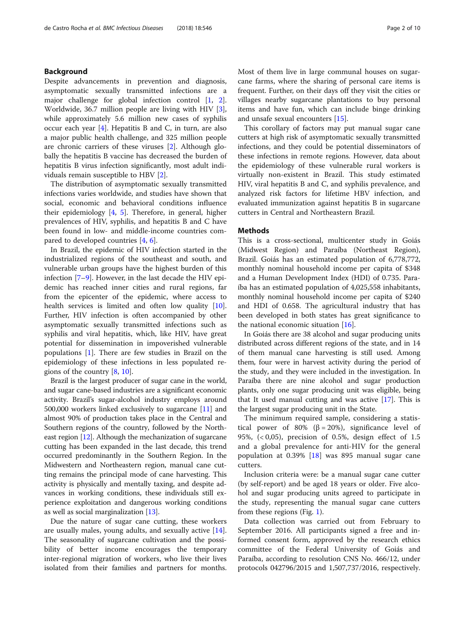# Background

Despite advancements in prevention and diagnosis, asymptomatic sexually transmitted infections are a major challenge for global infection control [\[1](#page-8-0), [2](#page-8-0)]. Worldwide, 36.7 million people are living with HIV [\[3](#page-8-0)], while approximately 5.6 million new cases of syphilis occur each year  $[4]$  $[4]$ . Hepatitis B and C, in turn, are also a major public health challenge, and 325 million people are chronic carriers of these viruses [\[2](#page-8-0)]. Although globally the hepatitis B vaccine has decreased the burden of hepatitis B virus infection significantly, most adult individuals remain susceptible to HBV [[2\]](#page-8-0).

The distribution of asymptomatic sexually transmitted infections varies worldwide, and studies have shown that social, economic and behavioral conditions influence their epidemiology [\[4](#page-8-0), [5\]](#page-8-0). Therefore, in general, higher prevalences of HIV, syphilis, and hepatitis B and C have been found in low- and middle-income countries compared to developed countries [[4,](#page-8-0) [6\]](#page-8-0).

In Brazil, the epidemic of HIV infection started in the industrialized regions of the southeast and south, and vulnerable urban groups have the highest burden of this infection [[7](#page-8-0)–[9\]](#page-8-0). However, in the last decade the HIV epidemic has reached inner cities and rural regions, far from the epicenter of the epidemic, where access to health services is limited and often low quality [\[10](#page-8-0)]. Further, HIV infection is often accompanied by other asymptomatic sexually transmitted infections such as syphilis and viral hepatitis, which, like HIV, have great potential for dissemination in impoverished vulnerable populations [[1\]](#page-8-0). There are few studies in Brazil on the epidemiology of these infections in less populated regions of the country [[8,](#page-8-0) [10](#page-8-0)].

Brazil is the largest producer of sugar cane in the world, and sugar cane-based industries are a significant economic activity. Brazil's sugar-alcohol industry employs around 500,000 workers linked exclusively to sugarcane [\[11\]](#page-8-0) and almost 90% of production takes place in the Central and Southern regions of the country, followed by the Northeast region [[12\]](#page-8-0). Although the mechanization of sugarcane cutting has been expanded in the last decade, this trend occurred predominantly in the Southern Region. In the Midwestern and Northeastern region, manual cane cutting remains the principal mode of cane harvesting. This activity is physically and mentally taxing, and despite advances in working conditions, these individuals still experience exploitation and dangerous working conditions as well as social marginalization [[13](#page-8-0)].

Due the nature of sugar cane cutting, these workers are usually males, young adults, and sexually active [\[14](#page-8-0)]. The seasonality of sugarcane cultivation and the possibility of better income encourages the temporary inter-regional migration of workers, who live their lives isolated from their families and partners for months. Most of them live in large communal houses on sugarcane farms, where the sharing of personal care items is frequent. Further, on their days off they visit the cities or villages nearby sugarcane plantations to buy personal items and have fun, which can include binge drinking and unsafe sexual encounters [\[15\]](#page-8-0).

This corollary of factors may put manual sugar cane cutters at high risk of asymptomatic sexually transmitted infections, and they could be potential disseminators of these infections in remote regions. However, data about the epidemiology of these vulnerable rural workers is virtually non-existent in Brazil. This study estimated HIV, viral hepatitis B and C, and syphilis prevalence, and analyzed risk factors for lifetime HBV infection, and evaluated immunization against hepatitis B in sugarcane cutters in Central and Northeastern Brazil.

## **Methods**

This is a cross-sectional, multicenter study in Goiás (Midwest Region) and Paraíba (Northeast Region), Brazil. Goiás has an estimated population of 6,778,772, monthly nominal household income per capita of \$348 and a Human Development Index (HDI) of 0.735. Paraíba has an estimated population of 4,025,558 inhabitants, monthly nominal household income per capita of \$240 and HDI of 0.658. The agricultural industry that has been developed in both states has great significance to the national economic situation  $[16]$  $[16]$ .

In Goiás there are 38 alcohol and sugar producing units distributed across different regions of the state, and in 14 of them manual cane harvesting is still used. Among them, four were in harvest activity during the period of the study, and they were included in the investigation. In Paraíba there are nine alcohol and sugar production plants, only one sugar producing unit was eligible, being that It used manual cutting and was active  $[17]$  $[17]$  $[17]$ . This is the largest sugar producing unit in the State.

The minimum required sample, considering a statistical power of 80% ( $\beta = 20\%$ ), significance level of 95%, (< 0,05), precision of 0.5%, design effect of 1.5 and a global prevalence for anti-HIV for the general population at 0.39% [\[18](#page-8-0)] was 895 manual sugar cane cutters.

Inclusion criteria were: be a manual sugar cane cutter (by self-report) and be aged 18 years or older. Five alcohol and sugar producing units agreed to participate in the study, representing the manual sugar cane cutters from these regions (Fig. [1\)](#page-2-0).

Data collection was carried out from February to September 2016. All participants signed a free and informed consent form, approved by the research ethics committee of the Federal University of Goiás and Paraíba, according to resolution CNS No. 466/12, under protocols 042796/2015 and 1,507,737/2016, respectively.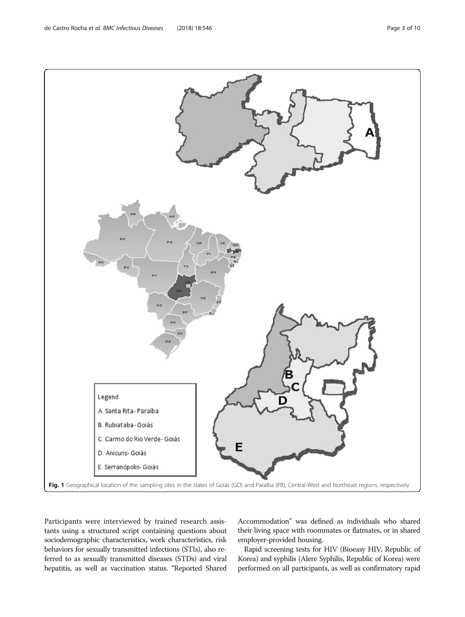Participants were interviewed by trained research assistants using a structured script containing questions about sociodemographic characteristics, work characteristics, risk behaviors for sexually transmitted infections (STIs), also referred to as sexually transmitted diseases (STDs) and viral hepatitis, as well as vaccination status. "Reported Shared

Accommodation" was defined as individuals who shared their living space with roommates or flatmates, or in shared employer-provided housing.

Rapid screening tests for HIV (Bioeasy HIV, Republic of Korea) and syphilis (Alere Syphilis, Republic of Korea) were performed on all participants, as well as confirmatory rapid

<span id="page-2-0"></span>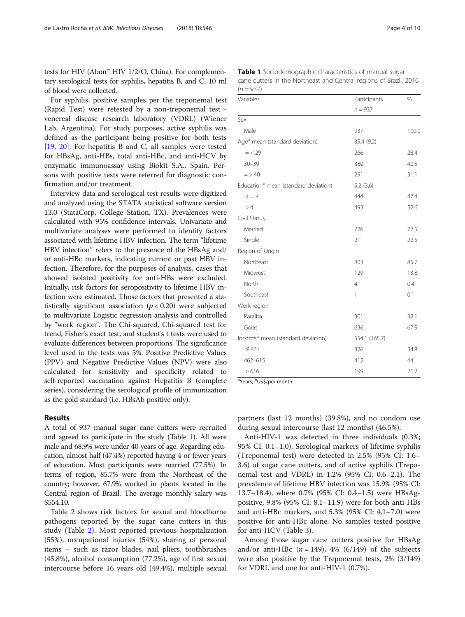tests for HIV (Abon™ HIV 1/2/O, China). For complementary serological tests for syphilis, hepatitis B, and C, 10 ml of blood were collected.

For syphilis, positive samples per the treponemal test (Rapid Test) were retested by a non-treponemal test venereal disease research laboratory (VDRL) (Wiener Lab, Argentina). For study purposes, active syphilis was defined as the participant being positive for both tests [[19,](#page-9-0) [20\]](#page-9-0). For hepatitis B and C, all samples were tested for HBsAg, anti-HBs, total anti-HBc, and anti-HCV by enzymatic immunoassay using Biokit S.A., Spain. Persons with positive tests were referred for diagnostic confirmation and/or treatment.

Interview data and serological test results were digitized and analyzed using the STATA statistical software version 13.0 (StataCorp, College Station, TX). Prevalences were calculated with 95% confidence intervals. Univariate and multivariate analyses were performed to identify factors associated with lifetime HBV infection. The term "lifetime HBV infection" refers to the presence of the HBsAg and/ or anti-HBc markers, indicating current or past HBV infection. Therefore, for the purposes of analysis, cases that showed isolated positivity for anti-HBs were excluded. Initially, risk factors for seropositivity to lifetime HBV infection were estimated. Those factors that presented a statistically significant association  $(p < 0.20)$  were subjected to multivariate Logistic regression analysis and controlled by "work region". The Chi-squared, Chi-squared test for trend, Fisher's exact test, and student's t tests were used to evaluate differences between proportions. The significance level used in the tests was 5%. Positive Predictive Values (PPV) and Negative Predictive Values (NPV) were also calculated for sensitivity and specificity related to self-reported vaccination against Hepatitis B (complete series), considering the serological profile of immunization as the gold standard (i.e. HBsAb positive only).

# Results

A total of 937 manual sugar cane cutters were recruited and agreed to participate in the study (Table 1). All were male and 68.9% were under 40 years of age. Regarding education, almost half (47.4%) reported having 4 or fewer years of education. Most participants were married (77.5%). In terms of region, 85.7% were from the Northeast of the country; however, 67.9% worked in plants located in the Central region of Brazil. The average monthly salary was \$554.10.

Table [2](#page-4-0) shows risk factors for sexual and bloodborne pathogens reported by the sugar cane cutters in this study (Table [2](#page-4-0)). Most reported previous hospitalization (55%), occupational injuries (54%), sharing of personal items – such as razor blades, nail pliers, toothbrushes (45.8%), alcohol consumption (77.2%), age of first sexual intercourse before 16 years old (49.4%), multiple sexual

| <b>Table 1</b> Sociodemographic characteristics of manual sugar   |
|-------------------------------------------------------------------|
| cane cutters in the Northeast and Central regions of Brazil, 2016 |
| $(n = 937)$                                                       |

| Variables                                        | Participants   | $\%$  |  |
|--------------------------------------------------|----------------|-------|--|
|                                                  | $n = 937$      |       |  |
| Sex                                              |                |       |  |
| Male                                             | 937            | 100.0 |  |
| Age <sup>a</sup> mean (standard deviation)       | 35.4 (9.2)     |       |  |
| $=$ < 29                                         | 266            | 28.4  |  |
| $30 - 39$                                        | 380            | 40.5  |  |
| $=$ > 40                                         | 291            | 31.1  |  |
| Education <sup>a</sup> mean (standard deviation) | 5.2(3.6)       |       |  |
| $\leq$ = 4                                       | 444            | 47.4  |  |
| >4                                               | 493            | 52.6  |  |
| Civil Status                                     |                |       |  |
| Married                                          | 726            | 77.5  |  |
| Single                                           | 211            | 22.5  |  |
| Region of Origin                                 |                |       |  |
| Northeast                                        | 803            | 85.7  |  |
| Midwest                                          | 129            | 13.8  |  |
| North                                            | $\overline{4}$ | 0.4   |  |
| Southeast                                        | 1              | 0.1   |  |
| Work region                                      |                |       |  |
| Paraíba                                          | 301            | 32.1  |  |
| Goiás                                            | 636            | 67.9  |  |
| Income <sup>b</sup> mean (standard deviation)    | 554.1 (165.7)  |       |  |
| $≤ 461$                                          | 326            | 34.8  |  |
| 462-615                                          | 412            | 44    |  |
| >616                                             | 199            | 21.2  |  |

<sup>a</sup>Years; <sup>b</sup>US\$/per month

partners (last 12 months) (39.8%), and no condom use during sexual intercourse (last 12 months) (46.5%).

Anti-HIV-1 was detected in three individuals (0.3%; 95% CI: 0.1–1.0). Serological markers of lifetime syphilis (Treponemal test) were detected in 2.5% (95% CI: 1.6– 3.6) of sugar cane cutters, and of active syphilis (Treponemal test and VDRL) in 1.2% (95% CI: 0.6–2.1). The prevalence of lifetime HBV infection was 15.9% (95% CI: 13.7–18.4), where 0.7% (95% CI: 0.4–1.5) were HBsAgpositive, 9.8% (95% CI: 8.1–11.9) were for both anti-HBs and anti-HBc markers, and 5.3% (95% CI: 4.1–7.0) were positive for anti-HBc alone. No samples tested positive for anti-HCV (Table [3\)](#page-4-0).

Among those sugar cane cutters positive for HBsAg and/or anti-HBc  $(n = 149)$ , 4% (6/149) of the subjects were also positive by the Treponemal tests, 2% (3/149) for VDRL and one for anti-HIV-1 (0.7%).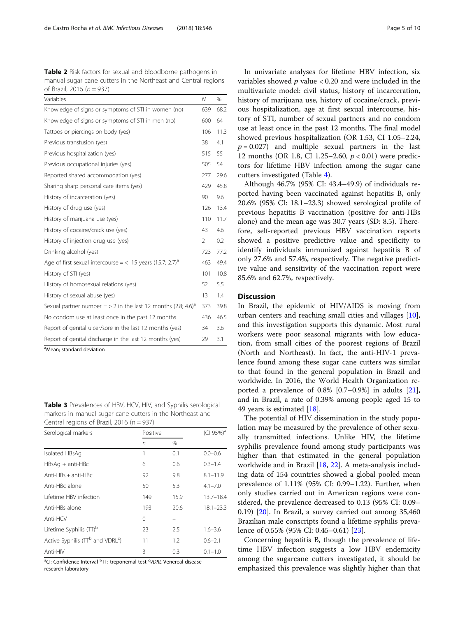<span id="page-4-0"></span>Table 2 Risk factors for sexual and bloodborne pathogens in manual sugar cane cutters in the Northeast and Central regions of Brazil, 2016 ( $n = 937$ )

| Variables                                                                   | Ν   | $\%$ |
|-----------------------------------------------------------------------------|-----|------|
| Knowledge of signs or symptoms of STI in women (no)                         | 639 | 68.2 |
| Knowledge of signs or symptoms of STI in men (no)                           | 600 | 64   |
| Tattoos or piercings on body (yes)                                          | 106 | 11.3 |
| Previous transfusion (yes)                                                  | 38  | 4.1  |
| Previous hospitalization (yes)                                              | 515 | 55   |
| Previous occupational injuries (yes)                                        | 505 | 54   |
| Reported shared accommodation (yes)                                         | 277 | 29.6 |
| Sharing sharp personal care items (yes)                                     | 429 | 45.8 |
| History of incarceration (yes)                                              | 90  | 9.6  |
| History of drug use (yes)                                                   | 126 | 13.4 |
| History of marijuana use (yes)                                              | 110 | 11.7 |
| History of cocaine/crack use (yes)                                          | 43  | 4.6  |
| History of injection drug use (yes)                                         | 2   | 0.2  |
| Drinking alcohol (yes)                                                      | 723 | 77.2 |
| Age of first sexual intercourse $=$ < 15 years (15.7; 2.7) <sup>a</sup>     | 463 | 49.4 |
| History of STI (yes)                                                        | 101 | 10.8 |
| History of homosexual relations (yes)                                       | 52  | 5.5  |
| History of sexual abuse (yes)                                               | 13  | 1.4  |
| Sexual partner number $=$ > 2 in the last 12 months (2.8; 4.6) <sup>a</sup> | 373 | 39.8 |
| No condom use at least once in the past 12 months                           | 436 | 46.5 |
| Report of genital ulcer/sore in the last 12 months (yes)                    | 34  | 3.6  |
| Report of genital discharge in the last 12 months (yes)                     | 29  | 3.1  |

<sup>a</sup>Mean; standard deviation

Table 3 Prevalences of HBV, HCV, HIV, and Syphilis serological markers in manual sugar cane cutters in the Northeast and Central regions of Brazil, 2016 (n = 937)

| Serological markers                          | Positive |      | (CI 95%) <sup>a</sup> |  |
|----------------------------------------------|----------|------|-----------------------|--|
|                                              | n        | %    |                       |  |
| Isolated HBsAq                               | 1        | 0.1  | $0.0 - 0.6$           |  |
| $HBSAq + anti-HBC$                           | 6        | 0.6  | $0.3 - 1.4$           |  |
| $Anti-HBs + anti-HBc$                        | 92       | 9.8  | $8.1 - 11.9$          |  |
| Anti-HBc alone                               | 50       | 5.3  | $4.1 - 7.0$           |  |
| Lifetime HBV infection                       | 149      | 15.9 | $13.7 - 18.4$         |  |
| Anti-HBs alone                               | 193      | 20.6 | $18.1 - 23.3$         |  |
| Anti-HCV                                     | 0        |      |                       |  |
| Lifetime Syphilis (TT) <sup>b</sup>          | 23       | 2.5  | $1.6 - 3.6$           |  |
| Active Syphilis (TTb and VDRL <sup>c</sup> ) | 11       | 1.2  | $0.6 - 2.1$           |  |
| Anti-HIV                                     | 3        | 0.3  | $0.1 - 1.0$           |  |

<sup>a</sup>CI: Confidence Interval <sup>b</sup>TT: treponemal test <sup>c</sup>VDRL Venereal disease research laboratory

In univariate analyses for lifetime HBV infection, six variables showed  $p$  value  $< 0.20$  and were included in the multivariate model: civil status, history of incarceration, history of marijuana use, history of cocaine/crack, previous hospitalization, age at first sexual intercourse, history of STI, number of sexual partners and no condom use at least once in the past 12 months. The final model showed previous hospitalization (OR 1.53, CI 1.05–2.24,  $p = 0.027$ ) and multiple sexual partners in the last 12 months (OR 1.8, CI 1.25–2.60, p < 0.01) were predictors for lifetime HBV infection among the sugar cane cutters investigated (Table [4\)](#page-5-0).

Although 46.7% (95% CI: 43.4–49.9) of individuals reported having been vaccinated against hepatitis B, only 20.6% (95% CI: 18.1–23.3) showed serological profile of previous hepatitis B vaccination (positive for anti-HBs alone) and the mean age was 30.7 years (SD: 8.5). Therefore, self-reported previous HBV vaccination reports showed a positive predictive value and specificity to identify individuals immunized against hepatitis B of only 27.6% and 57.4%, respectively. The negative predictive value and sensitivity of the vaccination report were 85.6% and 62.7%, respectively.

# **Discussion**

In Brazil, the epidemic of HIV/AIDS is moving from urban centers and reaching small cities and villages [\[10](#page-8-0)], and this investigation supports this dynamic. Most rural workers were poor seasonal migrants with low education, from small cities of the poorest regions of Brazil (North and Northeast). In fact, the anti-HIV-1 prevalence found among these sugar cane cutters was similar to that found in the general population in Brazil and worldwide. In 2016, the World Health Organization reported a prevalence of 0.8% [0.7–0.9%] in adults [\[21](#page-9-0)], and in Brazil, a rate of 0.39% among people aged 15 to 49 years is estimated [[18\]](#page-8-0).

The potential of HIV dissemination in the study population may be measured by the prevalence of other sexually transmitted infections. Unlike HIV, the lifetime syphilis prevalence found among study participants was higher than that estimated in the general population worldwide and in Brazil [[18](#page-8-0), [22](#page-9-0)]. A meta-analysis including data of 154 countries showed a global pooled mean prevalence of 1.11% (95% CI: 0.99–1.22). Further, when only studies carried out in American regions were considered, the prevalence decreased to 0.13 (95% CI: 0.09– 0.19) [[20\]](#page-9-0). In Brazil, a survey carried out among 35,460 Brazilian male conscripts found a lifetime syphilis prevalence of 0.55% (95% CI: 0.45–0.61) [\[23\]](#page-9-0).

Concerning hepatitis B, though the prevalence of lifetime HBV infection suggests a low HBV endemicity among the sugarcane cutters investigated, it should be emphasized this prevalence was slightly higher than that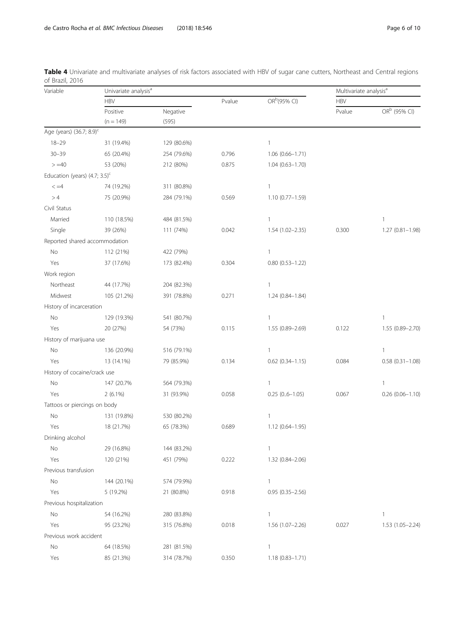| Variable                             | Univariate analysis <sup>a</sup> |                   |        | Multivariate analysis <sup>a</sup> |            |                          |
|--------------------------------------|----------------------------------|-------------------|--------|------------------------------------|------------|--------------------------|
|                                      | <b>HBV</b>                       |                   | Pvalue | OR <sup>b</sup> (95% CI)           | <b>HBV</b> |                          |
|                                      | Positive<br>$(n = 149)$          | Negative<br>(595) |        |                                    | Pvalue     | OR <sup>b</sup> (95% CI) |
|                                      |                                  |                   |        |                                    |            |                          |
| Age (years) (36.7; 8.9) <sup>c</sup> |                                  |                   |        |                                    |            |                          |
| $18 - 29$                            | 31 (19.4%)                       | 129 (80.6%)       |        | $\mathbf{1}$                       |            |                          |
| $30 - 39$                            | 65 (20.4%)                       | 254 (79.6%)       | 0.796  | $1.06(0.66 - 1.71)$                |            |                          |
| $> = 40$                             | 53 (20%)                         | 212 (80%)         | 0.875  | $1.04(0.63 - 1.70)$                |            |                          |
| Education (years) $(4.7; 3.5)^c$     |                                  |                   |        |                                    |            |                          |
| $\lt = 4$                            | 74 (19.2%)                       | 311 (80.8%)       |        | $\mathbf{1}$                       |            |                          |
| >4                                   | 75 (20.9%)                       | 284 (79.1%)       | 0.569  | 1.10 (0.77-1.59)                   |            |                          |
| Civil Status                         |                                  |                   |        |                                    |            |                          |
| Married                              | 110 (18.5%)                      | 484 (81.5%)       |        | $\mathbf{1}$                       |            | $\mathbf{1}$             |
| Single                               | 39 (26%)                         | 111 (74%)         | 0.042  | 1.54 (1.02-2.35)                   | 0.300      | $1.27(0.81 - 1.98)$      |
| Reported shared accommodation        |                                  |                   |        |                                    |            |                          |
| No                                   | 112 (21%)                        | 422 (79%)         |        | $\mathbf{1}$                       |            |                          |
| Yes                                  | 37 (17.6%)                       | 173 (82.4%)       | 0.304  | $0.80(0.53 - 1.22)$                |            |                          |
| Work region                          |                                  |                   |        |                                    |            |                          |
| Northeast                            | 44 (17.7%)                       | 204 (82.3%)       |        | $\mathbf{1}$                       |            |                          |
| Midwest                              | 105 (21.2%)                      | 391 (78.8%)       | 0.271  | 1.24 (0.84-1.84)                   |            |                          |
| History of incarceration             |                                  |                   |        |                                    |            |                          |
| No                                   | 129 (19.3%)                      | 541 (80.7%)       |        | $\mathbf{1}$                       |            | $\mathbf{1}$             |
| Yes                                  | 20 (27%)                         | 54 (73%)          | 0.115  | 1.55 (0.89-2.69)                   | 0.122      | 1.55 (0.89-2.70)         |
| History of marijuana use             |                                  |                   |        |                                    |            |                          |
| No                                   | 136 (20.9%)                      | 516 (79.1%)       |        | $\mathbf{1}$                       |            | $\mathbf{1}$             |
| Yes                                  | 13 (14.1%)                       | 79 (85.9%)        | 0.134  | $0.62$ $(0.34 - 1.15)$             | 0.084      | $0.58(0.31 - 1.08)$      |
| History of cocaine/crack use         |                                  |                   |        |                                    |            |                          |
| No                                   | 147 (20.7%                       | 564 (79.3%)       |        | $\mathbf{1}$                       |            | $\mathbf{1}$             |
| Yes                                  | $2(6.1\%)$                       | 31 (93.9%)        | 0.058  | $0.25(0.6 - 1.05)$                 | 0.067      | $0.26$ $(0.06 - 1.10)$   |
| Tattoos or piercings on body         |                                  |                   |        |                                    |            |                          |
| No                                   | 131 (19.8%)                      | 530 (80.2%)       |        | $\mathbf{1}$                       |            |                          |
| Yes                                  | 18 (21.7%)                       | 65 (78.3%)        | 0.689  | $1.12(0.64 - 1.95)$                |            |                          |
| Drinking alcohol                     |                                  |                   |        |                                    |            |                          |
| No                                   | 29 (16.8%)                       | 144 (83.2%)       |        | $\mathbf{1}$                       |            |                          |
| Yes                                  | 120 (21%)                        | 451 (79%)         | 0.222  | 1.32 (0.84-2.06)                   |            |                          |
| Previous transfusion                 |                                  |                   |        |                                    |            |                          |
| No                                   | 144 (20.1%)                      | 574 (79.9%)       |        | $\mathbf{1}$                       |            |                          |
| Yes                                  | 5 (19.2%)                        | 21 (80.8%)        | 0.918  | $0.95(0.35 - 2.56)$                |            |                          |
| Previous hospitalization             |                                  |                   |        |                                    |            |                          |
| No                                   | 54 (16.2%)                       | 280 (83.8%)       |        | $\mathbf{1}$                       |            | $\mathbf{1}$             |
| Yes                                  | 95 (23.2%)                       | 315 (76.8%)       | 0.018  | 1.56 (1.07-2.26)                   | 0.027      | 1.53 (1.05-2.24)         |
| Previous work accident               |                                  |                   |        |                                    |            |                          |
| No                                   | 64 (18.5%)                       | 281 (81.5%)       |        | $\mathbf{1}$                       |            |                          |
| Yes                                  | 85 (21.3%)                       | 314 (78.7%)       | 0.350  | $1.18(0.83 - 1.71)$                |            |                          |

<span id="page-5-0"></span>Table 4 Univariate and multivariate analyses of risk factors associated with HBV of sugar cane cutters, Northeast and Central regions of Brazil, 2016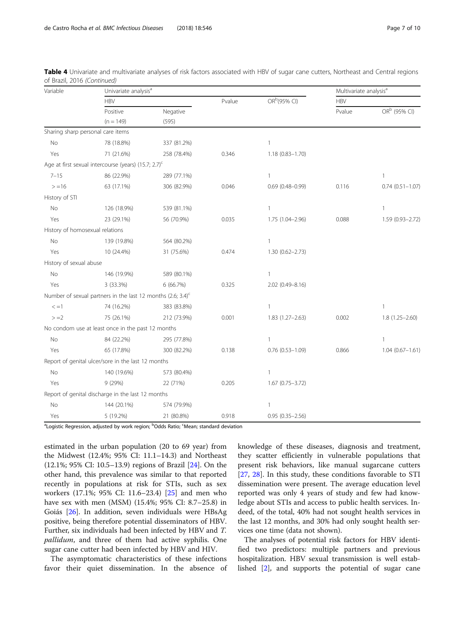| Variable                        |                                                                         | Univariate analysis <sup>a</sup> |       |                          |            | Multivariate analysis <sup>a</sup> |  |
|---------------------------------|-------------------------------------------------------------------------|----------------------------------|-------|--------------------------|------------|------------------------------------|--|
|                                 | <b>HBV</b>                                                              |                                  |       | OR <sup>b</sup> (95% CI) | <b>HBV</b> |                                    |  |
|                                 | Positive                                                                | Negative                         |       |                          | Pvalue     | OR <sup>b</sup> (95% CI)           |  |
|                                 | $(n = 149)$                                                             | (595)                            |       |                          |            |                                    |  |
|                                 | Sharing sharp personal care items                                       |                                  |       |                          |            |                                    |  |
| <b>No</b>                       | 78 (18.8%)                                                              | 337 (81.2%)                      |       | $\mathbf{1}$             |            |                                    |  |
| Yes                             | 71 (21.6%)                                                              | 258 (78.4%)                      | 0.346 | 1.18 (0.83-1.70)         |            |                                    |  |
|                                 | Age at first sexual intercourse (years) (15.7; 2.7) <sup>c</sup>        |                                  |       |                          |            |                                    |  |
| $7 - 15$                        | 86 (22.9%)                                                              | 289 (77.1%)                      |       | $\mathbf{1}$             |            | $\mathbf{1}$                       |  |
| $> = 16$                        | 63 (17.1%)                                                              | 306 (82.9%)                      | 0.046 | $0.69$ (0.48-0.99)       | 0.116      | $0.74(0.51 - 1.07)$                |  |
| History of STI                  |                                                                         |                                  |       |                          |            |                                    |  |
| No                              | 126 (18.9%)                                                             | 539 (81.1%)                      |       | 1                        |            | $\mathbf{1}$                       |  |
| Yes                             | 23 (29.1%)                                                              | 56 (70.9%)                       | 0.035 | 1.75 (1.04-2.96)         | 0.088      | 1.59 (0.93-2.72)                   |  |
| History of homosexual relations |                                                                         |                                  |       |                          |            |                                    |  |
| No                              | 139 (19.8%)                                                             | 564 (80.2%)                      |       | $\mathbf{1}$             |            |                                    |  |
| Yes                             | 10 (24.4%)                                                              | 31 (75.6%)                       | 0.474 | 1.30 (0.62-2.73)         |            |                                    |  |
| History of sexual abuse         |                                                                         |                                  |       |                          |            |                                    |  |
| No                              | 146 (19.9%)                                                             | 589 (80.1%)                      |       | 1                        |            |                                    |  |
| Yes                             | 3 (33.3%)                                                               | 6(66.7%)                         | 0.325 | 2.02 (0.49-8.16)         |            |                                    |  |
|                                 | Number of sexual partners in the last 12 months (2.6; 3.4) <sup>c</sup> |                                  |       |                          |            |                                    |  |
| $\leq$ =1                       | 74 (16.2%)                                                              | 383 (83.8%)                      |       | $\mathbf{1}$             |            | $\mathbf{1}$                       |  |
| $> = 2$                         | 75 (26.1%)                                                              | 212 (73.9%)                      | 0.001 | 1.83 (1.27-2.63)         | 0.002      | $1.8(1.25 - 2.60)$                 |  |
|                                 | No condom use at least once in the past 12 months                       |                                  |       |                          |            |                                    |  |
| No                              | 84 (22.2%)                                                              | 295 (77.8%)                      |       | $\mathbf{1}$             |            | $\mathbf{1}$                       |  |
| Yes                             | 65 (17.8%)                                                              | 300 (82.2%)                      | 0.138 | $0.76$ $(0.53 - 1.09)$   | 0.866      | $1.04(0.67 - 1.61)$                |  |
|                                 | Report of genital ulcer/sore in the last 12 months                      |                                  |       |                          |            |                                    |  |
| No                              | 140 (19.6%)                                                             | 573 (80.4%)                      |       | $\mathbf{1}$             |            |                                    |  |
| Yes                             | 9(29%)                                                                  | 22 (71%)                         | 0.205 | $1.67(0.75 - 3.72)$      |            |                                    |  |
|                                 | Report of genital discharge in the last 12 months                       |                                  |       |                          |            |                                    |  |
| No                              | 144 (20.1%)                                                             | 574 (79.9%)                      |       | 1                        |            |                                    |  |
| Yes                             | 5 (19.2%)                                                               | 21 (80.8%)                       | 0.918 | $0.95(0.35 - 2.56)$      |            |                                    |  |

Table 4 Univariate and multivariate analyses of risk factors associated with HBV of sugar cane cutters, Northeast and Central regions of Brazil, 2016 (Continued)

<sup>a</sup>Logistic Regression, adjusted by work region; <sup>b</sup>Odds Ratio; <sup>c</sup>Mean; standard deviation

estimated in the urban population (20 to 69 year) from the Midwest (12.4%; 95% CI: 11.1–14.3) and Northeast (12.1%; 95% CI: 10.5–13.9) regions of Brazil [\[24](#page-9-0)]. On the other hand, this prevalence was similar to that reported recently in populations at risk for STIs, such as sex workers (17.1%; 95% CI: 11.6–23.4) [\[25](#page-9-0)] and men who have sex with men (MSM) (15.4%; 95% CI: 8.7–25.8) in Goiás [[26\]](#page-9-0). In addition, seven individuals were HBsAg positive, being therefore potential disseminators of HBV. Further, six individuals had been infected by HBV and T. pallidum, and three of them had active syphilis. One sugar cane cutter had been infected by HBV and HIV.

The asymptomatic characteristics of these infections favor their quiet dissemination. In the absence of

knowledge of these diseases, diagnosis and treatment, they scatter efficiently in vulnerable populations that present risk behaviors, like manual sugarcane cutters [[27,](#page-9-0) [28](#page-9-0)]. In this study, these conditions favorable to STI dissemination were present. The average education level reported was only 4 years of study and few had knowledge about STIs and access to public health services. Indeed, of the total, 40% had not sought health services in the last 12 months, and 30% had only sought health services one time (data not shown).

The analyses of potential risk factors for HBV identified two predictors: multiple partners and previous hospitalization. HBV sexual transmission is well established [[2\]](#page-8-0), and supports the potential of sugar cane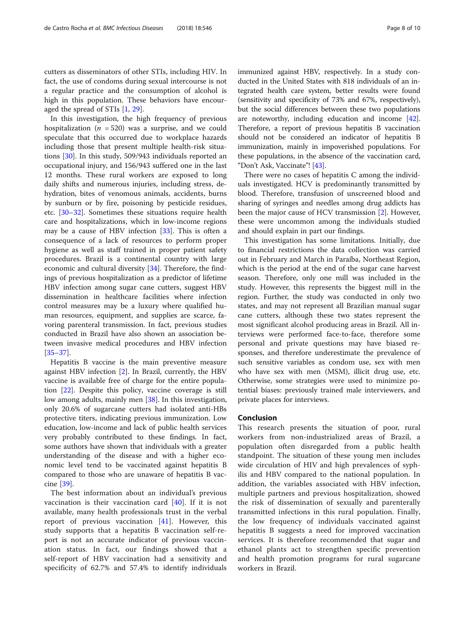cutters as disseminators of other STIs, including HIV. In fact, the use of condoms during sexual intercourse is not a regular practice and the consumption of alcohol is high in this population. These behaviors have encouraged the spread of STIs [\[1](#page-8-0), [29](#page-9-0)].

In this investigation, the high frequency of previous hospitalization ( $n = 520$ ) was a surprise, and we could speculate that this occurred due to workplace hazards including those that present multiple health-risk situations [\[30\]](#page-9-0). In this study, 509/943 individuals reported an occupational injury, and 156/943 suffered one in the last 12 months. These rural workers are exposed to long daily shifts and numerous injuries, including stress, dehydration, bites of venomous animals, accidents, burns by sunburn or by fire, poisoning by pesticide residues, etc. [\[30](#page-9-0)–[32\]](#page-9-0). Sometimes these situations require health care and hospitalizations, which in low-income regions may be a cause of HBV infection [\[33\]](#page-9-0). This is often a consequence of a lack of resources to perform proper hygiene as well as staff trained in proper patient safety procedures. Brazil is a continental country with large economic and cultural diversity [[34\]](#page-9-0). Therefore, the findings of previous hospitalization as a predictor of lifetime HBV infection among sugar cane cutters, suggest HBV dissemination in healthcare facilities where infection control measures may be a luxury where qualified human resources, equipment, and supplies are scarce, favoring parenteral transmission. In fact, previous studies conducted in Brazil have also shown an association between invasive medical procedures and HBV infection [[35](#page-9-0)–[37](#page-9-0)].

Hepatitis B vaccine is the main preventive measure against HBV infection [[2](#page-8-0)]. In Brazil, currently, the HBV vaccine is available free of charge for the entire population [\[22](#page-9-0)]. Despite this policy, vaccine coverage is still low among adults, mainly men [\[38](#page-9-0)]. In this investigation, only 20.6% of sugarcane cutters had isolated anti-HBs protective titers, indicating previous immunization. Low education, low-income and lack of public health services very probably contributed to these findings. In fact, some authors have shown that individuals with a greater understanding of the disease and with a higher economic level tend to be vaccinated against hepatitis B compared to those who are unaware of hepatitis B vaccine [[39](#page-9-0)].

The best information about an individual's previous vaccination is their vaccination card [[40](#page-9-0)]. If it is not available, many health professionals trust in the verbal report of previous vaccination [\[41](#page-9-0)]. However, this study supports that a hepatitis B vaccination self-report is not an accurate indicator of previous vaccination status. In fact, our findings showed that a self-report of HBV vaccination had a sensitivity and specificity of 62.7% and 57.4% to identify individuals immunized against HBV, respectively. In a study conducted in the United States with 818 individuals of an integrated health care system, better results were found (sensitivity and specificity of 73% and 67%, respectively), but the social differences between these two populations are noteworthy, including education and income [[42](#page-9-0)]. Therefore, a report of previous hepatitis B vaccination should not be considered an indicator of hepatitis B immunization, mainly in impoverished populations. For these populations, in the absence of the vaccination card, "Don't Ask, Vaccinate"! [\[43\]](#page-9-0).

There were no cases of hepatitis C among the individuals investigated. HCV is predominantly transmitted by blood. Therefore, transfusion of unscreened blood and sharing of syringes and needles among drug addicts has been the major cause of HCV transmission [\[2](#page-8-0)]. However, these were uncommon among the individuals studied and should explain in part our findings.

This investigation has some limitations. Initially, due to financial restrictions the data collection was carried out in February and March in Paraíba, Northeast Region, which is the period at the end of the sugar cane harvest season. Therefore, only one mill was included in the study. However, this represents the biggest mill in the region. Further, the study was conducted in only two states, and may not represent all Brazilian manual sugar cane cutters, although these two states represent the most significant alcohol producing areas in Brazil. All interviews were performed face-to-face, therefore some personal and private questions may have biased responses, and therefore underestimate the prevalence of such sensitive variables as condom use, sex with men who have sex with men (MSM), illicit drug use, etc. Otherwise, some strategies were used to minimize potential biases: previously trained male interviewers, and private places for interviews.

# Conclusion

This research presents the situation of poor, rural workers from non-industrialized areas of Brazil, a population often disregarded from a public health standpoint. The situation of these young men includes wide circulation of HIV and high prevalences of syphilis and HBV compared to the national population. In addition, the variables associated with HBV infection, multiple partners and previous hospitalization, showed the risk of dissemination of sexually and parenterally transmitted infections in this rural population. Finally, the low frequency of individuals vaccinated against hepatitis B suggests a need for improved vaccination services. It is therefore recommended that sugar and ethanol plants act to strengthen specific prevention and health promotion programs for rural sugarcane workers in Brazil.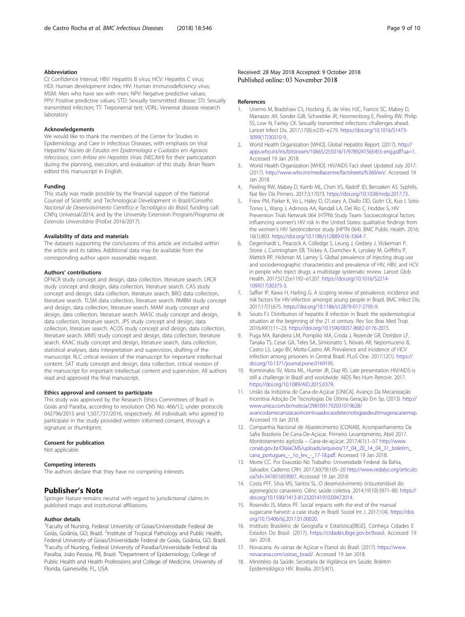## <span id="page-8-0"></span>Abbreviation

CI: Confidence Interval; HBV: Hepatitis B virus; HCV: Hepatitis C virus; HDI: Human development index; HIV: Human immunodeficiency virus; MSM: Men who have sex with men; NPV: Negative predictive values; PPV: Positive predictive values; STD: Sexually transmitted disease; STI: Sexually transmitted infection; TT: Treponemal test; VDRL: Venereal disease research laboratory

#### Acknowledgements

We would like to thank the members of the Center for Studies in Epidemiology and Care in Infectious Diseases, with emphasis on Viral Hepatitis/ Núcleo de Estudos em Epidemiologia e Cuidados em Agravos Infecciosos, com ênfase em Hepatites Virais (NECAIH) for their participation during the planning, execution, and evaluation of this study. Brian Ream edited this manuscript in English.

#### Funding

This study was made possible by the financial support of the National Counsel of Scientific and Technological Development in Brazil/Conselho Nacional de Desenvolvimento Científico e Tecnológico do Brasil, funding call: CNPq Universal/2014, and by the University Extension Program/Programa de Extensão Universitária (ProExt 2016/2017).

#### Availability of data and materials

The datasets supporting the conclusions of this article are included within the article and its tables. Additional data may be available from the corresponding author upon reasonable request.

#### Authors' contributions

DFNCR study concept and design, data collection, literature search. LRCR study concept and design, data collection, literature search. CAS study concept and design, data collection, literature search. BRO data collection, literature search. TLSM data collection, literature search. RMBM study concept and design, data collection, literature search. MAM study concept and design, data collection, literature search. MASC study concept and design, data collection, literature search. JPS study concept and design, data collection, literature search. ACOS study concept and design, data collection, literature search. MMS study concept and design, data collection, literature search. KAAC study concept and design, literature search, data collection, statistical analyses, data interpretation and supervision, drafting of the manuscript. RLC critical revision of the manuscript for important intellectual content. SAT study concept and design, data collection, critical revision of the manuscript for important intellectual content and supervision. All authors read and approved the final manuscript.

#### Ethics approval and consent to participate

This study was approved by the Research Ethics Committees of Brazil in Goiás and Paraíba, according to resolution CNS No. 466/12, under protocols 042796/2015 and 1,507,737/2016, respectively. All individuals who agreed to participate in the study provided written informed consent, through a signature or thumbprint.

#### Consent for publication

Not applicable.

#### Competing interests

The authors declare that they have no competing interests.

#### Publisher's Note

Springer Nature remains neutral with regard to jurisdictional claims in published maps and institutional affiliations.

#### Author details

<sup>1</sup> Faculty of Nursing, Federal University of Goias/Universidade Federal de Goiás, Goiânia, GO, Brazil. <sup>2</sup>Institute of Tropical Pathology and Public Health, Federal University of Goias/Universidade Federal de Goiás, Goiânia, GO, Brazil. <sup>3</sup>Faculty of Nursing, Federal University of Paraiba/Universidade Federal da Paraíba, João Pessoa, PB, Brazil. <sup>4</sup>Department of Epidemiology, College of Public Health and Health Professions and College of Medicine, University of Florida, Gainesville, FL, USA.

# Received: 28 May 2018 Accepted: 9 October 2018 Published online: 03 November 2018

#### References

- 1. Unemo M, Bradshaw CS, Hocking JS, de Vries HJC, Francis SC, Mabey D, Marrazzo JM, Sonder GJB, Schwebke JR, Hoornenborg E, Peeling RW, Philip SS, Low N, Fairley CK. Sexually transmitted infections: challenges ahead. Lancet Infect Dis. 2017;17(8)::e235–e279. [https://doi.org/10.1016/S1473-](https://doi.org/10.1016/S1473-3099(17)30310-9.) [3099\(17\)30310-9..](https://doi.org/10.1016/S1473-3099(17)30310-9.)
- 2. World Health Organization [WHO]. Global Hepatitis Report. (2017). [http://](http://apps.who.int/iris/bitstream/10665/255016/1/9789241565455-eng.pdf?ua=1) [apps.who.int/iris/bitstream/10665/255016/1/9789241565455-eng.pdf?ua=1](http://apps.who.int/iris/bitstream/10665/255016/1/9789241565455-eng.pdf?ua=1). Accessed 19 Jan 2018.
- 3. World Health Organization [WHO]. HIV/AIDS Fact sheet Updated July 2017. (2017). <http://www.who.int/mediacentre/factsheets/fs360/en/>. Accessed 19 Jan 2018.
- 4. Peeling RW, Mabey D, Kamb ML, Chen XS, Radolf JD, Benzaken AS. Syphilis. Nat Rev Dis Primers. 2017;3:17073. [https://doi.org/10.1038/nrdp.2017.73.](https://doi.org/10.1038/nrdp.2017.73)
- 5. Frew PM, Parker K, Vo L, Haley D, O'Leary A, Diallo DD, Golin CE, Kuo I, Soto-Torres L, Wang J, Adimora AA, Randall LA, Del Rio C, Hodder S, HIV Prevention Trials Network 064 (HTPN) Study Team. Socioecological factors influencing women's HIV risk in the United States: qualitative findings from the women's HIV SeroIncidence study (HPTN 064). BMC Public Health. 2016; 16(1):803. [https://doi.org/10.1186/s12889-016-3364-7.](https://doi.org/10.1186/s12889-016-3364-7)
- 6. Degenhardt L, Peacock A, Colledge S, Leung J, Grebely J, Vickerman P, Stone J, Cunningham EB, Trickey A, Dumchev K, Lynskey M, Griffiths P, Mattick RP, Hickman M, Larney S. Global prevalence of injecting drug use and sociodemographic characteristics and prevalence of HIV, HBV, and HCV in people who inject drugs: a multistage systematic review. Lancet Glob Health. 2017;5(12):e1192–e1207. [https://doi.org/10.1016/S2214-](https://doi.org/10.1016/S2214-109X(17)30375-3) [109X\(17\)30375-3.](https://doi.org/10.1016/S2214-109X(17)30375-3)
- 7. Saffier IP, Kawa H, Harling G. A scoping review of prevalence, incidence and risk factors for HIV infection amongst young people in Brazil. BMC Infect Dis. 2017;17(1):675. <https://doi.org/10.1186/s12879-017-2795-9.>
- 8. Souto FJ. Distribution of hepatitis B infection in Brazil: the epidemiological situation at the beginning of the 21 st century. Rev Soc Bras Med Trop. 2016;49(1):11–23. <https://doi.org/10.1590/0037-8682-0176-2015.>
- 9. Puga MA, Bandeira LM, Pompilio MA, Croda J, Rezende GR, Dorisbor LF, Tanaka TS, Cesar GA, Teles SA, Simionatto S, Novais AR, Nepomuceno B, Castro LS, Lago BV, Motta-Castro AR. Prevalence and incidence of HCV infection among prisoners in Central Brazil. PLoS One. 2017;12(1). [https://](https://doi.org/10.1371/journal.pone.0169195) [doi.org/10.1371/journal.pone.0169195.](https://doi.org/10.1371/journal.pone.0169195)
- 10. Komninakis SV, Mota ML, Hunter JR, Diaz RS. Late presentation HIV/AIDS is still a challenge in Brazil and worldwide. AIDS Res Hum Retrovir. 2017. <https://doi.org/10.1089/AID.2015.0379.>
- 11. União da Indústria de Cana-de-Açúcar [ÚNICA]. Avanço Da Mecanização Incentiva Adoção De Tecnologias De Última Geração Em Sp. (2013). [http://](http://www.unica.com.br/noticia/2981091792031019628/avancodamecanizacaoincentivaadocaodetecnologiasdeultimageracaoemsp) [www.unica.com.br/noticia/2981091792031019628/](http://www.unica.com.br/noticia/2981091792031019628/avancodamecanizacaoincentivaadocaodetecnologiasdeultimageracaoemsp) [avancodamecanizacaoincentivaadocaodetecnologiasdeultimageracaoemsp.](http://www.unica.com.br/noticia/2981091792031019628/avancodamecanizacaoincentivaadocaodetecnologiasdeultimageracaoemsp) Accessed 19 Jan 2018.
- 12. Companhia Nacional de Abastecimento [CONAB]. Acompanhamento Da Safra Brasileira De Cana-De-Açúcar, Primeiro Levantamento, Abril 2017. Monitoramento agrícola – Cana-de-açúcar. 2017;4(1):1–57 [http://www.](http://www.conab.gov.br/OlalaCMS/uploads/arquivos/17_04_20_14_04_31_boletim_cana_portugues_-_1o_lev_-_17-18.pdf) [conab.gov.br/OlalaCMS/uploads/arquivos/17\\_04\\_20\\_14\\_04\\_31\\_boletim\\_](http://www.conab.gov.br/OlalaCMS/uploads/arquivos/17_04_20_14_04_31_boletim_cana_portugues_-_1o_lev_-_17-18.pdf) [cana\\_portugues\\_-\\_1o\\_lev\\_-\\_17-18.pdf](http://www.conab.gov.br/OlalaCMS/uploads/arquivos/17_04_20_14_04_31_boletim_cana_portugues_-_1o_lev_-_17-18.pdf). Accessed 19 Jan 2018.
- 13. Morte CC. Por Exaustão No Trabalho. Universidade Federal da Bahia, Salvador. Caderno CRH. 2017;30(79):105–20 [http://www.redalyc.org/articulo.](http://www.redalyc.org/articulo.oa?id=347651659007) [oa?id=347651659007.](http://www.redalyc.org/articulo.oa?id=347651659007) Accessed 19 Jan 2018.
- 14. Costa PFF, Silva MS, Santos SL. O desenvolvimento (in)sustentável do agronegócio canavieiro. Ciênc saúde coletiva. 2014;19(10):3971–80. [https://](https://doi.org/10.1590/1413-812320141910.09472014) [doi.org/10.1590/1413-812320141910.09472014.](https://doi.org/10.1590/1413-812320141910.09472014)
- 15. Rosendo JS, Matos PF. Social impacts with the end of the manual sugarcane harvest: a case study in Brazil. Sociol Int J. 2017;1(4). [https://doi.](https://doi.org/10.15406/sij.2017.01.00020) [org/10.15406/sij.2017.01.00020](https://doi.org/10.15406/sij.2017.01.00020).
- 16. Instituto Brasileiro de Geografia e Estatística[IBGE]. Conheça Cidades E Estados Do Brasil. (2017). <https://cidades.ibge.gov.br/brasil>. Accessed 19 Jan 2018.
- 17. Novacana. As usinas de Açúcar e Etanol do Brasil. (2017). [https://www.](https://www.novacana.com/usinas_brasil/) [novacana.com/usinas\\_brasil/](https://www.novacana.com/usinas_brasil/). Accessed 19 Jan 2018.
- 18. Ministério da Saúde. Secretaria de Vigilância em Saúde. Boletim Epidemiológico HIV. Brasília. 2015;4(1).